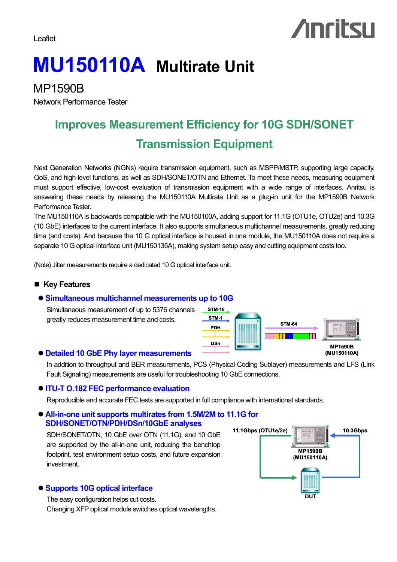Leaflet

# **Anritsu**

## **MU150110A Multirate Unit**

MP1590B

Network Performance Tester

### **Improves Measurement Efficiency for 10G SDH/SONET Transmission Equipment**

Next Generation Networks (NGNs) require transmission equipment, such as MSPP/MSTP, supporting large capacity, QoS, and high-level functions, as well as SDH/SONET/OTN and Ethernet. To meet these needs, measuring equipment must support effective, low-cost evaluation of transmission equipment with a wide range of interfaces. Anritsu is answering these needs by releasing the MU150110A Multirate Unit as a plug-in unit for the MP1590B Network Performance Tester.

The MU150110A is backwards compatible with the MU150100A, adding support for 11.1G (OTU1e, OTU2e) and 10.3G (10 GbE) interfaces to the current interface. It also supports simultaneous multichannel measurements, greatly reducing time (and costs). And because the 10 G optical interface is housed in one module, the MU150110A does not require a separate 10 G optical interface unit (MU150135A), making system setup easy and cutting equipment costs too.

(Note) Jitter measurements require a dedicated 10 G optical interface unit.

#### ■ Key Features

#### ● Simultaneous multichannel measurements up to 10G

Simultaneous measurement of up to 5376 channels greatly reduces measurement time and costs.

#### z **Detailed 10 GbE Phy layer measurements**

In addition to throughput and BER measurements, PCS (Physical Coding Sublayer) measurements and LFS (Link Fault Signaling) measurements are useful for troubleshooting 10 GbE connections.

**STM-16 STM-1 PDH**

**DSn**

#### z **ITU-T O.182 FEC performance evaluation**

Reproducible and accurate FEC tests are supported in full compliance with international standards.

#### ● All-in-one unit supports multirates from 1.5M/2M to 11.1G for **SDH/SONET/OTN/PDH/DSn/10GbE analyses**

SDH/SONET/OTN, 10 GbE over OTN (11.1G), and 10 GbE are supported by the all-in-one unit, reducing the benchtop footprint, test environment setup costs, and future expansion investment.

#### z **Supports 10G optical interface**

The easy configuration helps cut costs. Changing XFP optical module switches optical wavelengths.



**STM-64**

N HENRI

**MP1590B (MU150110A)**